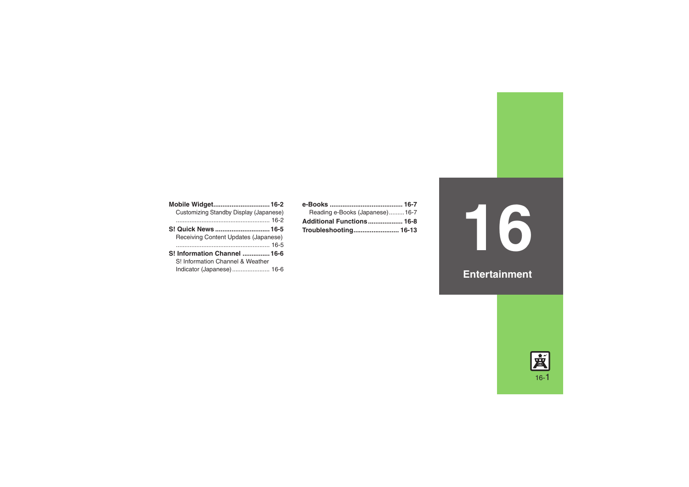**[Mobile Widget...............................16-2](#page-1-0)** [Customizing Standby Display \(Japanese\)](#page-1-1) ....................................................... [16-2](#page-1-1)**S! Quick News [..............................16-5](#page-4-0)** [Receiving Content Updates \(Japanese\)](#page-4-1) ....................................................... [16-5](#page-4-1)**S! [Information Channel](#page-5-0) ...............16-6**S! [Information Channel & Weather](#page-5-1) [Indicator \(Japanese\)......................](#page-5-1) 16-6

| Reading e-Books (Japanese)16-7 |  |
|--------------------------------|--|
| Additional Functions 16-8      |  |
|                                |  |

# **16**

#### **Entertainment**

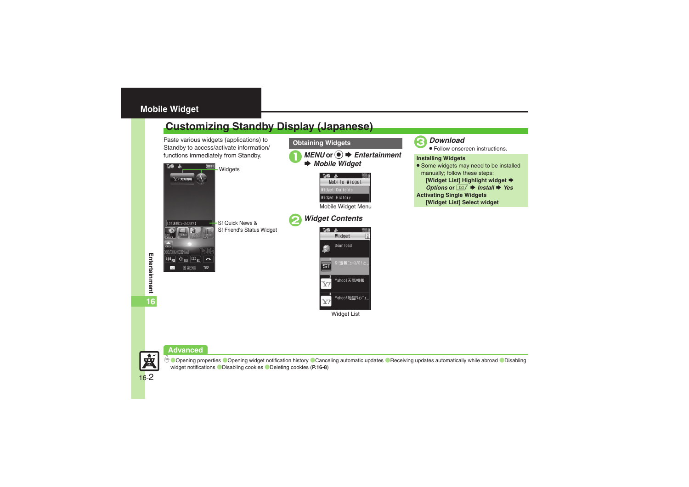#### <span id="page-1-0"></span>**Mobile Widget**

### <span id="page-1-1"></span>**Customizing Standby Display (Japanese)**

Paste various widgets (applications) to Standby to access/activate information/





## 3*Download* .

Follow onscreen instructions.

#### **Installing Widgets**

**•** Some widgets may need to be installed manually; follow these steps: **[Widget List] Highlight widget**  $\blacktriangleright$ *Options* or **■**  $\rightarrow$  *Install*  $\rightarrow$  *Yes* **Activating Single Widgets [Widget List] Select widget**

#### **Advanced**



**C[Opening properties](#page-7-1) C[Opening widget notification history](#page-7-2) [Canceling automatic updates](#page-7-3) C[Receiving updates automatically while abroad](#page-7-4) CDisabling** [widget notifications](#page-7-5) ([Disabling cookies](#page-7-6) ([Deleting cookies](#page-7-7) (**[P.16-8](#page-7-1)**)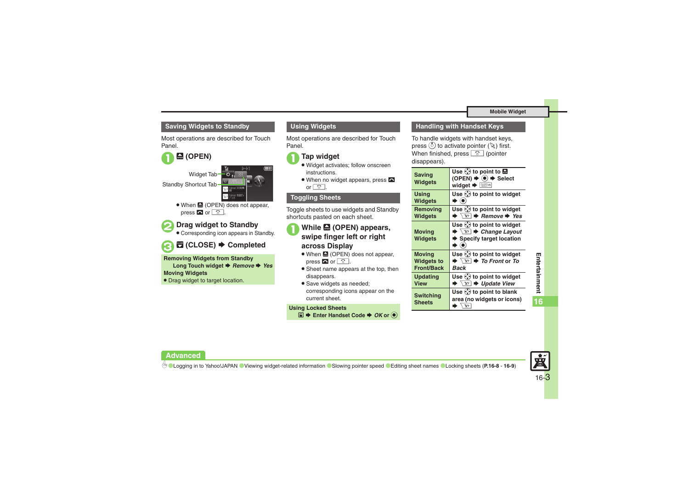#### **Mobile Widget**

#### **Saving Widgets to Standby**

Most operations are described for Touch Panel.



Widget Tab-Standby Shortcut Tab

• When **A** (OPEN) does not appear, press  $\bullet$  or  $\boxed{\circ}$ .

 $\bm{\Theta}$ 

#### 2**Drag widget to Standby**

. Corresponding icon appears in Standby.

#### \$ **(CLOSE)**  S **Completed**

**Removing Widgets from Standby**

Long Touch widget *➡ Remove ➡ Yes* 

#### **Moving Widgets**

. Drag widget to target location.

#### **Using Widgets**

Most operations are described for Touch Panel.

#### 1**Tap widget**

- . Widget activates; follow onscreen instructions.
- When no widget appears, press  $\blacksquare$ or  $\boxed{\circ}$ .

#### **Toggling Sheets**

Toggle sheets to use widgets and Standby shortcuts pasted on each sheet.

#### **1** While **2** (OPEN) appears, **swipe finger left or right across Display**

- When **the (OPEN)** does not appear, press  $\bullet$  or  $\boxed{\circ}$ .
- **•** Sheet name appears at the top, then disappears.
- . Save widgets as needed; corresponding icons appear on the current sheet.

#### **Using Locked Sheets**

**■**  $\blacktriangleright$  **Enter Handset Code**  $\blacktriangleright$  **OK** or **●** 

#### **Handling with Handset Keys**

To handle widgets with handset keys, press  $\circledS$  to activate pointer ( $\mathbb \setminus$ ) first. When finished, press **c** (pointer disappears).

| <b>Saving</b><br><b>Widgets</b>   | Use $\Diamond$ to point to $\Box$<br>(OPEN) $\blacktriangleright$ ( $\blacklozenge$ ) $\blacktriangleright$ Select<br>widget → <sup>[222</sup> |
|-----------------------------------|------------------------------------------------------------------------------------------------------------------------------------------------|
| <b>Using</b>                      | Use $\Diamond$ to point to widget                                                                                                              |
| <b>Widgets</b>                    | $\blacktriangleright$ (e)                                                                                                                      |
| Removing                          | Use $\langle \cdot \rangle$ to point to widget                                                                                                 |
| <b>Widgets</b>                    | $\blacktriangleright$ $\overline{\mathbf{Y}'}$ $\blacktriangleright$ Remove $\blacktriangleright$ Yes                                          |
| <b>Moving</b><br><b>Widgets</b>   | Use $\Diamond$ to point to widget<br>$\blacktriangleright$ $\overline{Y}$ $\blacktriangleright$ Change Layout<br>Specify target location       |
| <b>Moving</b>                     | Use $\ddot{\ddot{\psi}}$ to point to widget                                                                                                    |
| <b>Widgets to</b>                 | $\blacktriangleright \overline{Y}$ $\blacktriangleright$ To Front or To                                                                        |
| <b>Front/Back</b>                 | Back                                                                                                                                           |
| <b>Updating</b>                   | Use $\langle \cdot \rangle$ to point to widget                                                                                                 |
| <b>View</b>                       | $\blacktriangleright \overline{Y}$ $\blacktriangleright$ Update View                                                                           |
| <b>Switching</b><br><b>Sheets</b> | Use $\langle \cdot \rangle$ to point to blank<br>area (no widgets or icons)<br>$\blacktriangleright \overline{Y}$                              |



#### **Advanced**

16-3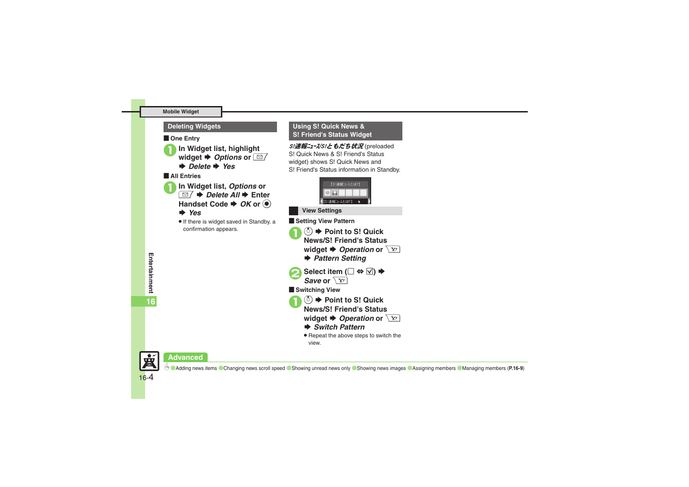#### **Mobile Widget**

#### **De Entry**



**In Widget list, highlight** widget ♦ *Options* or  $\boxed{\text{ }}$  $\rightarrow$  *Delete*  $\rightarrow$  *Yes* [ **All Entries In Widget list, Options or** 

 $\overline{\Xi}$  $\rightarrow$ *Delete All* $\rightarrow$  **Enter Handset Code**  $\blacktriangleright$  **OK or**  $\textcircled{\tiny{\bullet}}$ 

#### S *Yes*

. If there is widget saved in Standby, a confirmation appears.

#### **Deleting Widgets Using S! Quick News & S! Friend's Status Widget**

S!速報ニュース/S!ともだち状況 (preloaded S! Quick News & S! Friend's Status widget) shows S! Quick News and S! Friend's Status information in Standby.

| 【S!速報ニュースとは?】 |  |
|---------------|--|
|               |  |
| S!速報ニュースとは?】  |  |

**View Settings**



**widget**  $\blacktriangleright$ *Operation* or  $\boxed{Y}$ 

- **▶ Switch Pattern**
- Repeat the above steps to switch the view.





宴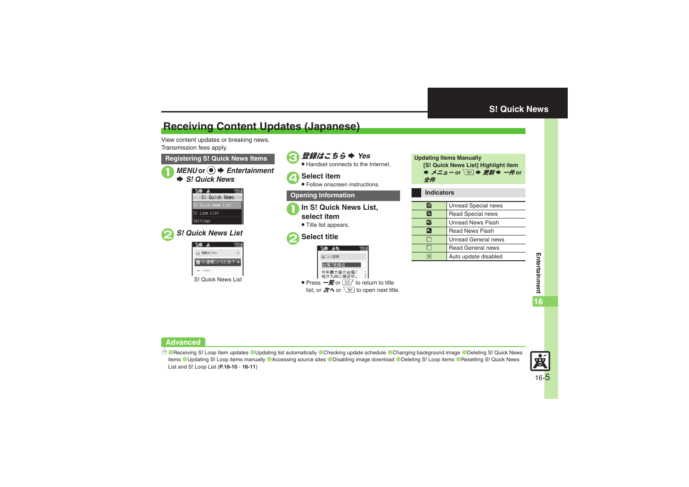#### <span id="page-4-0"></span>**S! Quick News**

#### <span id="page-4-1"></span>**Receiving Content Updates (Japanese)**

View content updates or breaking news. Transmission fees apply.

■ *MENU* or ● *Entertainment*  $\rightarrow$  **S! Quick News Registering S! Quick News Items**

| M.           |                    |               |  |
|--------------|--------------------|---------------|--|
|              |                    | S! Quick News |  |
|              | S! Quick News List |               |  |
| S! Loop List |                    |               |  |
| Settings     |                    |               |  |
|              |                    |               |  |



| 登録はこちら                |  |
|-----------------------|--|
| S!速報ニュースとは?           |  |
| <実型録>                 |  |
| Quick News List<br>S! |  |

**■ 登録はこちら ⇒ Yes** . Handset connects to the Internet. 4**Select item** . Follow onscreen instructions. **Opening Information** 1**In S! Quick News List, select item**. Title list appears. 2**Select title** The Jac ■ニュース速報 台風7号接近 今年最大級の台風 号が九州に接近中。 ● Press 一覧 or  $\boxed{\cong/}$  to return to title list, or  $\overline{\mathscr{K}}$ へ or  $\overline{\mathscr{L}'}$  to open next title.

**Updating Items Manually [S! Quick News List] Highlight item ⇒ メニューor ∑**? ➡ *更新* ➡ 一件or 全件

**Indicators**

| .       |                            |  |
|---------|----------------------------|--|
|         |                            |  |
| $\circ$ | <b>Unread Special news</b> |  |
| Q       | <b>Read Special news</b>   |  |
| ۶,      | <b>Unread News Flash</b>   |  |
| F.      | <b>Read News Flash</b>     |  |
| L٦      | <b>Unread General news</b> |  |
|         | <b>Read General news</b>   |  |
|         | Auto update disabled       |  |
|         |                            |  |

# **Entertainment Entertainment**

#### **Advanced**

b **Receiving S! [Loop Item updates](#page-9-0) Oupdating list automatically C[Checking update schedule](#page-9-2) C[Changing background image](#page-9-3) O[Deleting S!](#page-9-4) Quick News** [items](#page-9-4) OUpdating S! [Loop items manually](#page-9-5) C[Accessing source sites](#page-9-6) O[Disabling image download](#page-9-7) O[Deleting S!](#page-10-0) Loop items O[Resetting S!](#page-10-1) Quick News List and S! [Loop List](#page-10-1) (**[P.16-10](#page-9-0)** - **[16-11](#page-10-1)**)

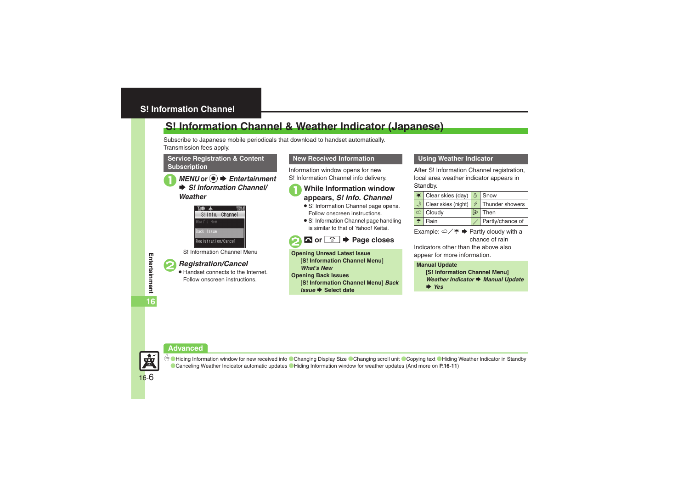#### <span id="page-5-1"></span><span id="page-5-0"></span>**S! Information Channel & Weather Indicator (Japanese)**

Subscribe to Japanese mobile periodicals that download to handset automatically. Transmission fees apply.

#### **Service Registration & Content Subscription**

#### *MENU* or **●**  $\rightarrow$  *Entertainment*  $\rightarrow$  **S!** Information Channel/ *Weather*



S! Information Channel Menu

#### 2*Registration/Cancel* .

 Handset connects to the Internet. Follow onscreen instructions.

#### **New Received Information**

Information window opens for new S! Information Channel info delivery.

## <sup>1</sup>**While Information window appears,** *S! Info. Channel*

- S! Information Channel page opens. Follow onscreen instructions.
- **•** S! Information Channel page handling is similar to that of Yahoo! Keitai.



**Opening Unread Latest Issue [S! Information Channel Menu]**  *What's New***Opening Back Issues [S! Information Channel Menu]** *Back*  **Issue → Select date** 

#### **Using Weather Indicator**

After S! Information Channel registration. local area weather indicator appears in Standby.

| Clear skies (day) & Snow |                  |
|--------------------------|------------------|
| Clear skies (night)      | Thunder showers  |
| Cloudy                   | Then             |
| Rain                     | Partly/chance of |

Example:  $\omega$ / $\rightarrow$   $\rightarrow$  Partly cloudy with a chance of rain

Indicators other than the above also appear for more information.

#### **Manual Update**

**[S! Information Channel Menu]**  *Weather Indicator* S *Manual Update* S *Yes*

#### **Advanced**



**<sup>6</sup>** [Hiding Information window for new received info](#page-10-2) [Changing Display Size](#page-10-3) [Changing scroll unit](#page-10-4) [Copying text](#page-10-5) Chiding Weather Indicator in Standby ([Canceling Weather Indicator automatic updates](#page-10-7) ([Hiding Information window for weather updates](#page-10-8) (And more on **[P.16-11](#page-10-2)**)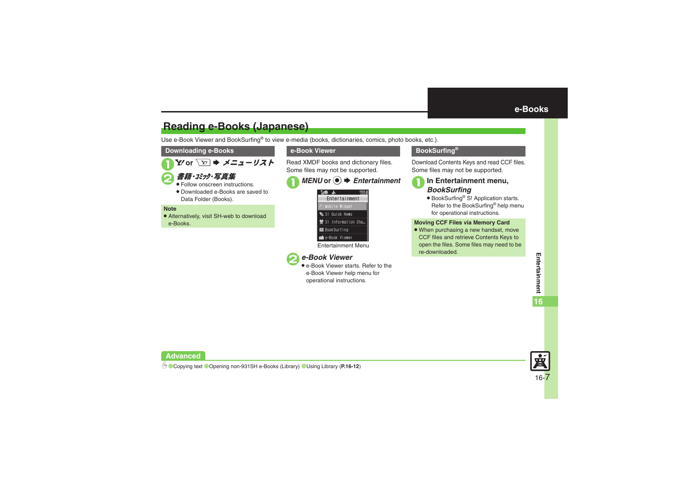#### <span id="page-6-1"></span>**Reading e-Books (Japanese)**

Use e-Book Viewer and BookSurfing® to view e-media (books, dictionaries, comics, photo books, etc.).

#### **Downloading e-Books**

Y⁄ or ∑∞ | ➡ *メニューリスト* 

#### 書籍・ぶック・写真集

- . Follow onscreen instructions.
- . Downloaded e-Books are saved to Data Folder (Books).

#### **Note**

 $\mathbf 0$ 

. Alternatively, visit SH-web to download e-Books.

#### **e-Book Viewer**

Read XMDF books and dictionary files. Some files may not be supported.

## ■ *MENU* or ●  $\rightarrow$  *Entertainment*



Entertainment Menu

#### 2*e-Book Viewer*

• e-Book Viewer starts. Refer to the e-Book Viewer help menu for operational instructions.

#### <span id="page-6-0"></span>**BookSurfing®**

Download Contents Keys and read CCF files. Some files may not be supported.

## <sup>1</sup>**In Entertainment menu,** *BookSurfing*

● BookSurfing<sup>®</sup> S! Application starts. Refer to the BookSurfing® help menu for operational instructions.

#### **Moving CCF Files via Memory Card**

• When purchasing a new handset, move CCF files and retrieve Contents Keys to open the files. Some files may need to be re-downloaded.



**Advanced**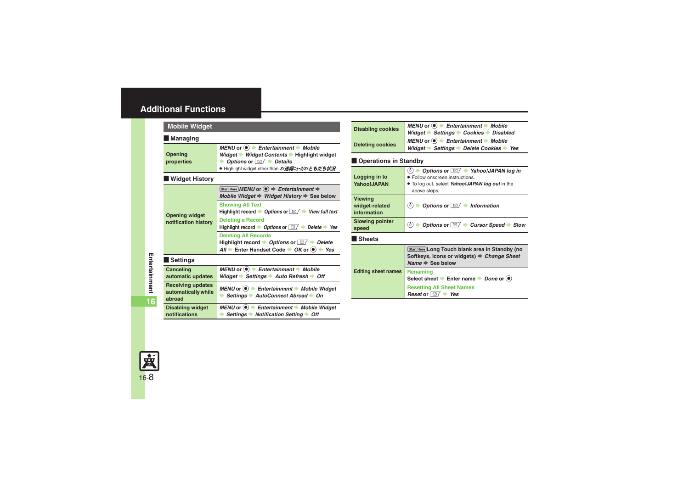#### <span id="page-7-0"></span>**Additional Functions**

<span id="page-7-1"></span>

| <b>Mobile Widget</b>                                      |                                                                                                                                                                                                                                                              |  |
|-----------------------------------------------------------|--------------------------------------------------------------------------------------------------------------------------------------------------------------------------------------------------------------------------------------------------------------|--|
| l Managing                                                |                                                                                                                                                                                                                                                              |  |
| Opening<br>properties                                     | MENU or $\textcircled{\textcircled{\textcirc}}$ $\textuparrow$ Entertainment $\textuparrow$ Mobile<br>Widget → Widget Contents → Highlight widget<br><b>▶</b> Options or $\boxed{\triangleright}$ Details<br>● Highlight widget other than S!速報ニュース/S!ともだち状況 |  |
| Widget History                                            |                                                                                                                                                                                                                                                              |  |
|                                                           | Start Here MENU or $\textcircled{\textcircled{\textcirc}}$ $\Rightarrow$ Entertainment $\Rightarrow$<br>Mobile Widget $\Rightarrow$ Widget History $\Rightarrow$ See below                                                                                   |  |
| <b>Opening widget</b>                                     | <b>Showing All Text</b><br>Highlight record $\rightarrow$ Options or $\Box$ $\rightarrow$ View full text                                                                                                                                                     |  |
| notification history                                      | <b>Deleting a Record</b><br>Highlight record $\rightarrow$ Options or $\Box / \rightarrow$ Delete $\rightarrow$ Yes                                                                                                                                          |  |
|                                                           | <b>Deleting All Records</b><br>Highlight record $\rightarrow$ Options or $\boxed{\cong}$ $\rightarrow$ Delete<br>$All \rightarrow$ Enter Handset Code $\rightarrow OK$ or $\bullet$ $\rightarrow$ Yes                                                        |  |
| l Settings                                                |                                                                                                                                                                                                                                                              |  |
| Canceling<br>automatic updates                            | MENU or $\left( \bullet \right)$ $\blacktriangleright$ Entertainment $\blacktriangleright$ Mobile<br>Widget $\Rightarrow$ Settings $\Rightarrow$ Auto Refresh $\Rightarrow$ Off                                                                              |  |
| <b>Receiving updates</b><br>automatically while<br>abroad | MENU or ● Entertainment → Mobile Widget<br>Settings $\rightarrow$ AutoConnect Abroad $\rightarrow$ On                                                                                                                                                        |  |
| <b>Disabling widget</b><br>notifications                  | MENU or ● Entertainment → Mobile Widget<br>Settings $\rightarrow$ Notification Setting $\rightarrow$ Off                                                                                                                                                     |  |

<span id="page-7-6"></span>

| <b>Disabling cookies</b> | MENU or $\odot \rightarrow$ Entertainment $\rightarrow$ Mobile<br>Widget $\rightarrow$ Settings $\rightarrow$ Cookies $\rightarrow$ Disabled |  |
|--------------------------|----------------------------------------------------------------------------------------------------------------------------------------------|--|
| <b>Deleting cookies</b>  | MENU or $\odot \rightarrow$ Entertainment $\rightarrow$ Mobile<br>Widget → Settings → Delete Cookies → Yes                                   |  |

#### <span id="page-7-7"></span> $\blacksquare$  Operations in Standby

<span id="page-7-11"></span><span id="page-7-10"></span><span id="page-7-9"></span><span id="page-7-8"></span>

| Logging in to<br><b>Yahoo!JAPAN</b>             | Options or $\Box$ Yahoo!JAPAN log in<br>ి)<br>• Follow onscreen instructions.<br>. To log out, select Yahoo!JAPAN log out in the<br>above steps. |
|-------------------------------------------------|--------------------------------------------------------------------------------------------------------------------------------------------------|
| <b>Viewing</b><br>widget-related<br>information | (8)<br>Options or $\Box$ • Information                                                                                                           |
| <b>Slowing pointer</b><br>speed                 | (ර්)<br>Options or $\Box$ Cursor Speed Slow                                                                                                      |
| <b>Sheets</b>                                   |                                                                                                                                                  |
|                                                 | Start Here Long Touch blank area in Standby (no<br>Softkeys, icons or widgets) → Change Sheet<br>Name $\Rightarrow$ See below                    |
| <b>Editing sheet names</b>                      | Renaming<br>Select sheet $\blacktriangleright$ Enter name $\blacktriangleright$ Done or $\blacklozenge$                                          |
|                                                 | <b>Resetting All Sheet Names</b>                                                                                                                 |



<span id="page-7-3"></span><span id="page-7-2"></span>**Entertainment** 

<span id="page-7-5"></span><span id="page-7-4"></span>**16**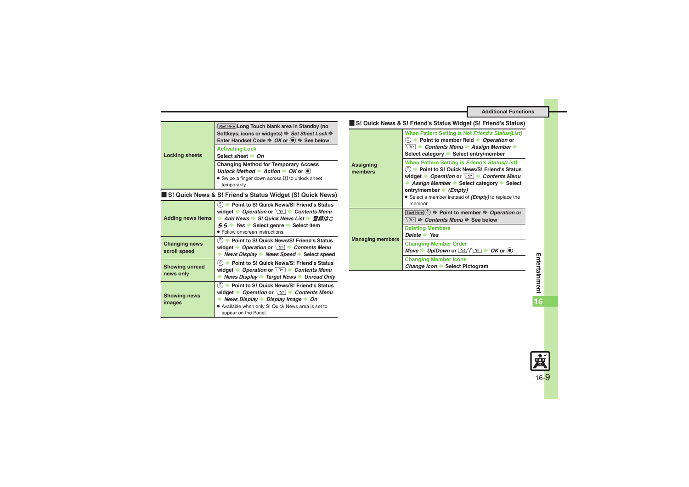<span id="page-8-5"></span><span id="page-8-4"></span><span id="page-8-3"></span><span id="page-8-2"></span><span id="page-8-1"></span><span id="page-8-0"></span>

|                                      | Start Here Long Touch blank area in Standby (no                                                                                                                                                                                                                       |                             | S! Quick News & S! Friend's Status Widget (S! Friend's Status)                                                                                                                                                                 |
|--------------------------------------|-----------------------------------------------------------------------------------------------------------------------------------------------------------------------------------------------------------------------------------------------------------------------|-----------------------------|--------------------------------------------------------------------------------------------------------------------------------------------------------------------------------------------------------------------------------|
|                                      | Softkeys, icons or widgets) → Set Sheet Lock →<br>Enter Handset Code $\Rightarrow$ OK or $\circledast$ $\Rightarrow$ See below                                                                                                                                        |                             | When Pattern Setting is Not Friend's Status(List)<br>$(5)$ $\rightarrow$ Point to member field $\rightarrow$ Operation or                                                                                                      |
| <b>Locking sheets</b>                | <b>Activating Lock</b><br>Select sheet $\rightarrow$ On                                                                                                                                                                                                               |                             | $\mathbf{v}$ $\rightarrow$ Contents Menu $\rightarrow$ Assign Member $\rightarrow$<br>Select category Select entry/member                                                                                                      |
|                                      | <b>Changing Method for Temporary Access</b><br>Unlock Method $\rightarrow$ Action $\rightarrow$ OK or $\odot$<br>• Swipe a finger down across <b>I</b> to unlock sheet<br>temporarily.                                                                                | <b>Assigning</b><br>members | When Pattern Setting is Friend's Status(List)<br>(5) Doint to S! Quick News/S! Friend's Status<br>widget $\rightarrow$ Operation or $\boxed{Y}$ $\rightarrow$ Contents Menu<br><b>Assign Member → Select category → Select</b> |
|                                      | S! Quick News & S! Friend's Status Widget (S! Quick News)                                                                                                                                                                                                             |                             | entry/member $\rightarrow$ ( <i>Empty</i> )<br>• Select a member instead of ( <i>Empty</i> ) to replace the                                                                                                                    |
| <b>Adding news items</b>             | (○) Do Point to S! Quick News/S! Friend's Status<br>widget $\rightarrow$ Operation or $\boxed{Y}$ $\rightarrow$ Contents Menu<br>→ Add News → S! Quick News List → 登録はこ<br>$56$ $\rightarrow$ Yes $\rightarrow$ Select genre $\rightarrow$ Select item                |                             | member.<br>Start Here $(\circ) \Rightarrow$ Point to member $\Rightarrow$ Operation or<br>$\overline{Y}$ $\Rightarrow$ Contents Menu $\Rightarrow$ See below                                                                   |
|                                      | • Follow onscreen instructions.                                                                                                                                                                                                                                       |                             | <b>Deleting Members</b><br>Delete $\rightarrow$ Yes                                                                                                                                                                            |
| <b>Changing news</b><br>scroll speed | (○) Doint to S! Quick News/S! Friend's Status<br>widget $\rightarrow$ Operation or $\boxed{Y}$ $\rightarrow$ Contents Menu<br>News Display News Speed Select speed                                                                                                    | <b>Managing members</b>     | <b>Changing Member Order</b><br>Move $\rightarrow$ Up/Down or $\boxed{\text{S}/\sqrt{\text{Y}}}\rightarrow$ OK or $\odot$                                                                                                      |
| <b>Showing unread</b>                | (○) Doint to S! Quick News/S! Friend's Status<br>widget $\rightarrow$ Operation or $\boxed{Y}$ $\rightarrow$ Contents Menu                                                                                                                                            |                             | <b>Changing Member Icons</b><br>Change Icon Select Pictogram                                                                                                                                                                   |
| news only                            | News Display > Target News > Unread Only                                                                                                                                                                                                                              |                             |                                                                                                                                                                                                                                |
| <b>Showing news</b><br>images        | (ै) Doint to S! Quick News/S! Friend's Status<br>widget $\rightarrow$ Operation or $\boxed{Y}$ $\rightarrow$ Contents Menu<br>News Display $\rightarrow$ Display Image $\rightarrow$ On<br>. Available when only S! Quick News area is set to<br>appear on the Panel. |                             |                                                                                                                                                                                                                                |

<span id="page-8-6"></span>**16**

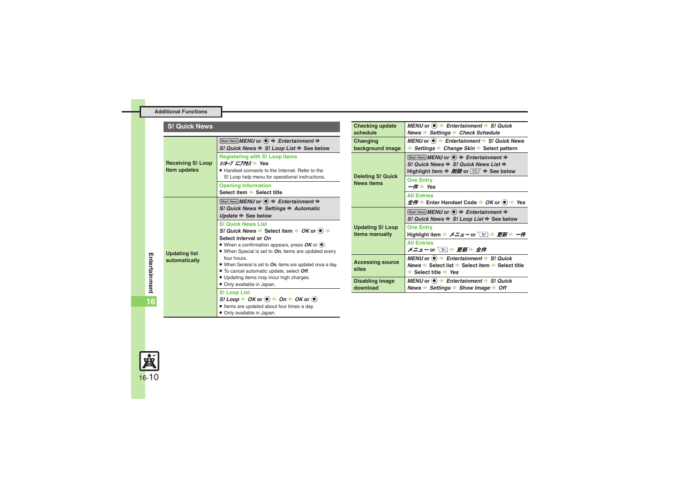#### **S! Quick News**

<span id="page-9-0"></span>

|                                          | Start Here MENU or $\textcircled{\textcircled{\textcirc}}$ $\Rightarrow$ Entertainment $\Rightarrow$<br>S! Quick News $\Rightarrow$ S! Loop List $\Rightarrow$ See below                                                                                                                                                                                                                                                                                                                      |
|------------------------------------------|-----------------------------------------------------------------------------------------------------------------------------------------------------------------------------------------------------------------------------------------------------------------------------------------------------------------------------------------------------------------------------------------------------------------------------------------------------------------------------------------------|
| <b>Receiving S! Loop</b><br>Item updates | <b>Registering with S! Loop Items</b><br>S!N-J にアクセス Yes<br>• Handset connects to the Internet. Refer to the<br>S! Loop help menu for operational instructions.                                                                                                                                                                                                                                                                                                                               |
|                                          | <b>Opening Information</b><br>Select item Select title                                                                                                                                                                                                                                                                                                                                                                                                                                        |
|                                          | Start Here MENU or $\left( \bullet \right) \Rightarrow$ Entertainment $\Rightarrow$<br>S! Quick News $\Rightarrow$ Settings $\Rightarrow$ Automatic<br>Update $\Rightarrow$ See below                                                                                                                                                                                                                                                                                                         |
| <b>Updating list</b><br>automatically    | <b>S! Quick News List</b><br>S! Quick News $\blacktriangleright$ Select item $\blacktriangleright$ OK or $\blacklozenge$ $\blacktriangleright$<br>Select interval or On<br>• When a confirmation appears, press $OK$ or $\odot$ .<br>• When Special is set to On, items are updated every<br>four hours.<br>• When General is set to On, items are updated once a day.<br>• To cancel automatic update, select Off.<br>• Updating items may incur high charges.<br>• Only available in Japan. |
|                                          | <b>S! Loop List</b><br>$SI$ Loop $\rightarrow$ OK or $\left( \bullet \right) \rightarrow$ On $\rightarrow$ OK or $\left( \bullet \right)$<br>. Items are updated about four times a day.                                                                                                                                                                                                                                                                                                      |

<span id="page-9-7"></span><span id="page-9-1"></span>. Only available in Japan.

<span id="page-9-6"></span><span id="page-9-5"></span><span id="page-9-4"></span><span id="page-9-3"></span><span id="page-9-2"></span>

| <b>Checking update</b><br>schedule            | MENU or $\bullet$ Fntertainment $\bullet$ S! Quick<br>News Settings Check Schedule                                                                                                                                                          |
|-----------------------------------------------|---------------------------------------------------------------------------------------------------------------------------------------------------------------------------------------------------------------------------------------------|
| Changing<br>background image                  | MENU or $\circledast$ Fintertainment $\bullet$ S! Quick News<br>$\rightarrow$ Settings $\rightarrow$ Change Skin $\rightarrow$ Select pattern                                                                                               |
| <b>Deleting S! Quick</b><br><b>News items</b> | Start Here MENU or $\left( \bullet \right) \Rightarrow$ Entertainment $\Rightarrow$<br>S! Quick News $\Rightarrow$ S! Quick News List $\Rightarrow$<br>Highlight item $\Rightarrow$ <i>削除</i> or $\boxed{\text{O}}$ $\Rightarrow$ See below |
|                                               | <b>One Entry</b><br>$-\#$ Yes                                                                                                                                                                                                               |
|                                               | <b>All Entries</b><br>$\hat{\mathcal{L}} \hat{H}$ $\Rightarrow$ Enter Handset Code $\Rightarrow$ OK or $\circledast$ $\Rightarrow$ Yes                                                                                                      |
| <b>Updating S! Loop</b><br>items manually     | Start Here MENU or $\left( \bullet \right) \Rightarrow$ Entertainment $\Rightarrow$<br>S! Quick News $\Rightarrow$ S! Loop List $\Rightarrow$ See below                                                                                     |
|                                               | <b>One Entry</b><br>Highlight item → メニューor ∑ → 更新 → 一件                                                                                                                                                                                     |
|                                               | <b>All Entries</b>                                                                                                                                                                                                                          |
| <b>Accessing source</b><br>sites              | MENU or $\left( \bullet \right)$ $\Rightarrow$ Entertainment $\Rightarrow$ S! Quick<br>News → Select list → Select item → Select title<br>$\rightarrow$ Select title $\rightarrow$ Yes                                                      |
| Disabling image<br>download                   | MENU or $\left( \bullet \right)$ $\blacktriangleright$ Entertainment $\blacktriangleright$ S! Quick<br>News → Settings → Show Image → Off                                                                                                   |

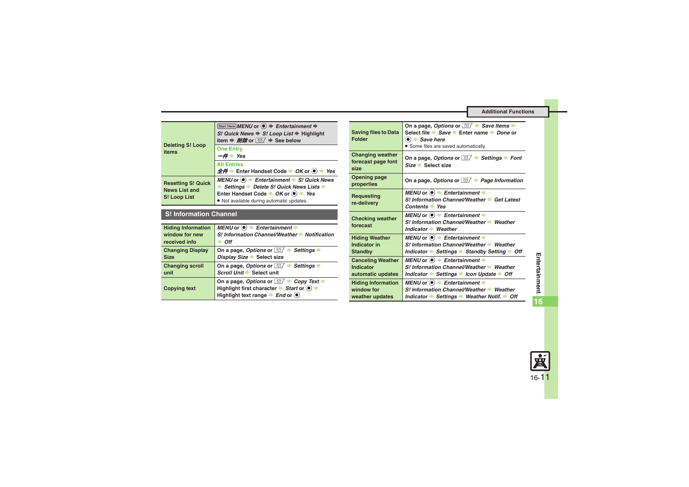<span id="page-10-0"></span>

| <b>Deleting S! Loop</b><br>items                                  | Start Here MENU or $\textcircled{\textcircled{\textcirc}}$ $\Rightarrow$ Entertainment $\Rightarrow$<br>S! Quick News → S! Loop List → Highlight<br>item $\Rightarrow$ <i>削除</i> or $\boxed{\simeq}$ $\Rightarrow$ See below                      |
|-------------------------------------------------------------------|---------------------------------------------------------------------------------------------------------------------------------------------------------------------------------------------------------------------------------------------------|
|                                                                   | <b>One Entry</b><br>Yes<br>$-4$                                                                                                                                                                                                                   |
|                                                                   | <b>All Entries</b><br>$\hat{\mathbf{\pm}} \hat{\mathbf{\#}}$ Enter Handset Code $\Rightarrow$ OK or $\textcircled{\ } \Rightarrow$ Yes                                                                                                            |
| <b>Resetting S! Quick</b><br><b>News List and</b><br>S! Loop List | MENU or $\odot$ $\rightarrow$ Entertainment $\rightarrow$ S! Quick News<br>Settings Delete S! Quick News Lists<br>Enter Handset Code $\rightarrow$ OK or $\textcircled{\textcirc}$ $\rightarrow$ Yes<br>. Not available during automatic updates. |

#### <span id="page-10-1"></span>**S! Information Channel**

<span id="page-10-5"></span><span id="page-10-4"></span><span id="page-10-3"></span><span id="page-10-2"></span>

| <b>Hiding Information</b> | MENU or $\textcircled{\textcircled{\textcirc}}$ $\textuparrow$ Entertainment $\textuparrowled{\textcircled{\textcircled{\textcirc}}}$               |
|---------------------------|-----------------------------------------------------------------------------------------------------------------------------------------------------|
| window for new            | S! Information Channel/Weather > Notification                                                                                                       |
| received info             | <b>Off</b>                                                                                                                                          |
| <b>Changing Display</b>   | On a page, Options or $\Box$ Settings                                                                                                               |
| <b>Size</b>               | Display Size Select size                                                                                                                            |
| <b>Changing scroll</b>    | On a page, Options or $\boxed{\simeq}$ $\blacktriangleright$ Settings                                                                               |
| unit                      | Scroll Unit Select unit                                                                                                                             |
| <b>Copying text</b>       | On a page, Options or $\Box$ $\rightarrow$ Copy Text<br>Highlight first character → Start or +<br>Highlight text range $\rightarrow$ End or $\odot$ |

<span id="page-10-8"></span><span id="page-10-7"></span><span id="page-10-6"></span>

| <b>Saving files to Data</b><br><b>Folder</b>               | On a page, Options or $\Box$ $\blacktriangleright$ Save Items $\blacktriangleright$<br>Select file $\Rightarrow$ Save $\Rightarrow$ Enter name $\Rightarrow$ Done or<br>$\bullet$ $\bullet$ Save here<br>• Some files are saved automatically. |
|------------------------------------------------------------|------------------------------------------------------------------------------------------------------------------------------------------------------------------------------------------------------------------------------------------------|
| <b>Changing weather</b><br>forecast page font<br>size      | On a page, Options or $\Box$ Settings $\blacktriangleright$ Font<br>$Size \rightarrow Select size$                                                                                                                                             |
| Opening page<br>properties                                 | On a page, Options or $\Box$ $\rightarrow$ Page Information                                                                                                                                                                                    |
| <b>Requesting</b><br>re-delivery                           | MENU or $\textcircled{\textcircled{\textcirc}}$ $\textuparrow$ Entertainment $\textuparrowled{\textcircled{\textcircled{\textcirc}}}$<br>S! Information Channel/Weather Cet Latest<br>Contents $\Rightarrow$ Yes                               |
| <b>Checking weather</b><br>forecast                        | MENU or $\left( \bullet \right)$ $\blacktriangleright$ Entertainment $\blacktriangleright$<br>S! Information Channel/Weather > Weather<br>Indicator Weather                                                                                    |
| <b>Hiding Weather</b><br>Indicator in<br><b>Standby</b>    | MENU or $\textcircled{\textcircled{\textcirc}}$ $\textuparrow$ Entertainment $\textuparrowled{\textcircled{\textcircled{\textcirc}}}$<br>S! Information Channel/Weather > Weather<br>Indicator Settings Standby Setting Soft                   |
| <b>Canceling Weather</b><br>Indicator<br>automatic updates | MENU or $\textcircled{\textcircled{\textcirc}}$ $\textuparrow$ Entertainment $\textuparrowled{\textcircled{\textcircled{\textcirc}}}$<br>S! Information Channel/Weather > Weather<br>Indicator Settings → Icon Update → Off                    |
| <b>Hiding Information</b><br>window for<br>weather updates | MENU or $\left( \bullet \right)$ $\blacktriangleright$ Entertainment $\blacktriangleright$<br>S! Information Channel/Weather > Weather<br>Indicator → Settings → Weather Notif. → Off                                                          |

**16**

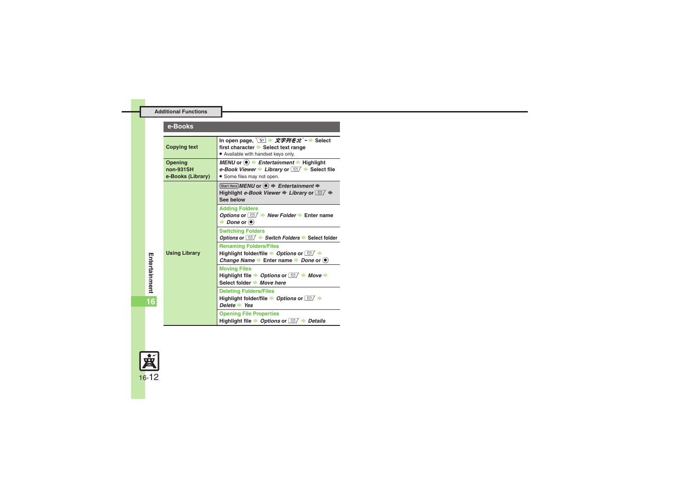#### **e-Books**

<span id="page-11-1"></span><span id="page-11-0"></span>

| <b>Copying text</b>                       | In open page, $\boxed{Y}$ $\rightarrow \cancel{X}$ $\cancel{Z}$ $\cancel{Z}$ $\cancel{Z}$ $\cancel{Z}$ $\cancel{Z}$ $\rightarrow$ Select<br>first character Select text range<br>• Available with handset keys only. |
|-------------------------------------------|----------------------------------------------------------------------------------------------------------------------------------------------------------------------------------------------------------------------|
| Opening<br>non-931SH<br>e-Books (Library) | MENU or $\bullet$ Fentertainment $\bullet$ Highlight<br>e-Book Viewer Library or $\Box$ Select file<br>• Some files may not open.                                                                                    |
| <b>Using Library</b>                      | Start Here MENU or $\left( \bullet \right) \Rightarrow$ Entertainment $\Rightarrow$<br>Highlight e-Book Viewer $\Rightarrow$ Library or $\Box$ $\Rightarrow$<br>See below                                            |
|                                           | <b>Adding Folders</b><br>Options or $\Box$ New Folder $\blacktriangleright$ Enter name<br>$\rightarrow$ Done or $\odot$                                                                                              |
|                                           | <b>Switching Folders</b><br>Options or $\boxed{\text{M}}$ $\blacktriangleright$ Switch Folders $\blacktriangleright$ Select folder                                                                                   |
|                                           | <b>Renaming Folders/Files</b><br>Highlight folder/file ▶ Options or $\Box$ ▶<br>Change Name $\rightarrow$ Enter name $\rightarrow$ Done or $\circledast$                                                             |
|                                           | <b>Moving Files</b><br>Highlight file $\rightarrow$ Options or $\boxed{\cong}$ $\rightarrow$ Move $\rightarrow$<br>Select folder → Move here                                                                         |
|                                           | <b>Deleting Folders/Files</b><br>Highlight folder/file ▶ Options or $\Box$ ▶<br>Delete $\rightarrow$ Yes                                                                                                             |
|                                           | <b>Opening File Properties</b><br>Highlight file $\rightarrow$ Options or $\Box / \rightarrow$ Details                                                                                                               |

<span id="page-11-2"></span>